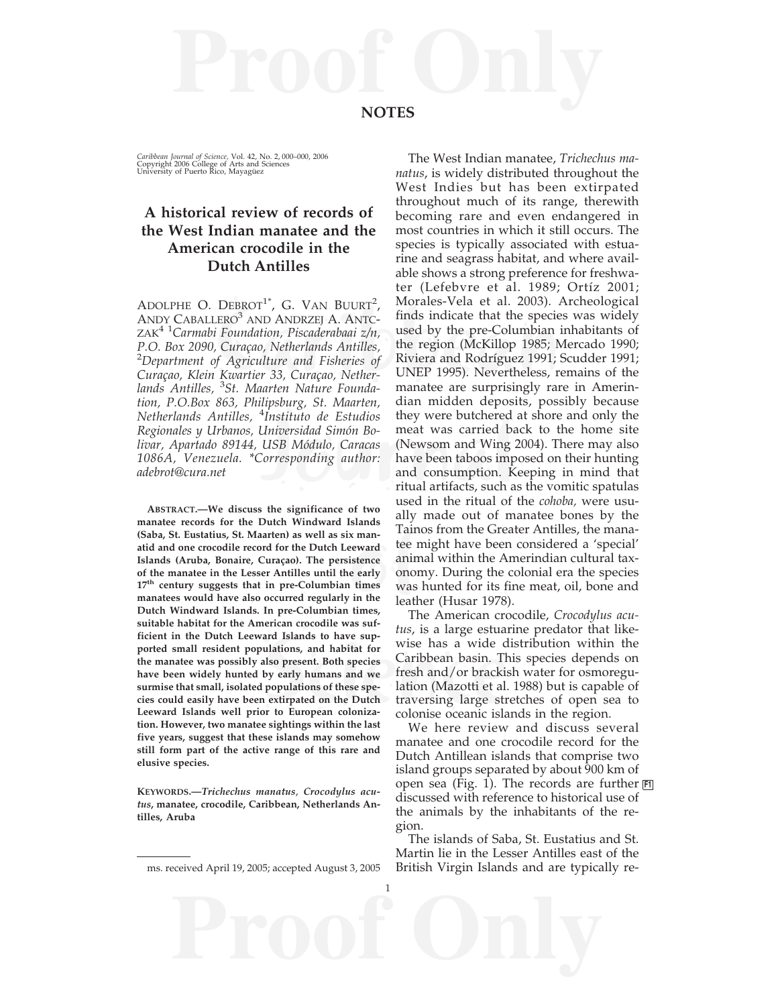*Caribbean Journal of Science,* Vol. 42, No. 2, 000–000, 2006<br>Copyright 2006 College of Arts and Sciences<br>University of Puerto Rico, Mayagüez

## **A historical review of records of the West Indian manatee and the American crocodile in the Dutch Antilles**

DEBROT , G. VAN BOORT,<br>LERO<sup>3</sup> AND ANDRZEJ A. ANTC-<br>i Foundation, Piscaderabaai  $z/n$ , used by the pre-Columbian<br>*conduction, Piscaderabaai*  $z/n$ , used by the pre-Columbian<br>*Curaçao, Netherlands Antilles*, the region (McKi ADOLPHE O. DEBROT<sup>1\*</sup>, G. VAN BUURT<sup>2</sup>, ANDY CABALLERO<sup>3</sup> AND ANDRZEJ A. ANTC-ZAK4 1*Carmabi Foundation, Piscaderabaai z/n, P.O. Box 2090, Curaçao, Netherlands Antilles,* 2 *Department of Agriculture and Fisheries of Curaçao, Klein Kwartier 33, Curaçao, Netherlands Antilles,* <sup>3</sup> *St. Maarten Nature Foundation, P.O.Box 863, Philipsburg, St. Maarten, Netherlands Antilles,* <sup>4</sup> *Instituto de Estudios Regionales y Urbanos, Universidad Simón Bolivar, Apartado 89144, USB Módulo, Caracas 1086A, Venezuela. \*Corresponding author: adebrot@cura.net*

x man-<br>
x man-<br>
istence anim<br>
istence anim<br>
e early onon<br>
times times,<br>
The Theory<br>
The Theory<br>
The Theory<br>
The Theory<br>
The Theory<br>
Theory<br>
Theory<br>
Theory<br>
Theory<br>
Theory<br>
Theory<br>
Theory<br>
Theory<br>
Theory<br>
Theory<br>
Theory<br>
Th ard Islands to have sup-<br>
ulations, and habitat for<br>
luso present. Both species<br>
Caribbean basin. The<br>
by early humans and we fresh and/or brackis<br>
populations of these spe-<br>
lation (Mazotti et al.<br>
extirpated on the Dutch **ABSTRACT.—We discuss the significance of two manatee records for the Dutch Windward Islands (Saba, St. Eustatius, St. Maarten) as well as six manatid and one crocodile record for the Dutch Leeward Islands (Aruba, Bonaire, Curaçao). The persistence of the manatee in the Lesser Antilles until the early 17th century suggests that in pre-Columbian times manatees would have also occurred regularly in the Dutch Windward Islands. In pre-Columbian times, suitable habitat for the American crocodile was sufficient in the Dutch Leeward Islands to have supported small resident populations, and habitat for the manatee was possibly also present. Both species have been widely hunted by early humans and we surmise that small, isolated populations of these species could easily have been extirpated on the Dutch Leeward Islands well prior to European colonization. However, two manatee sightings within the last five years, suggest that these islands may somehow still form part of the active range of this rare and elusive species.**

**KEYWORDS.—***Trichechus manatus*, *Crocodylus acutus***, manatee, crocodile, Caribbean, Netherlands Antilles, Aruba**

**Proof Only**

1

Thistituto de Estudios they were butchered<br>Universidad Simón Bo-<br>Missouri (Newsom and Wing<br>Corresponding author: have been taboos important<br>and consumption. K<br>Titual artifacts, such a<br>used in the ritual of The West Indian manatee, *Trichechus manatus*, is widely distributed throughout the West Indies but has been extirpated throughout much of its range, therewith becoming rare and even endangered in most countries in which it still occurs. The species is typically associated with estuarine and seagrass habitat, and where available shows a strong preference for freshwater (Lefebvre et al. 1989; Ortíz 2001; Morales-Vela et al. 2003). Archeological finds indicate that the species was widely used by the pre-Columbian inhabitants of the region (McKillop 1985; Mercado 1990; Riviera and Rodríguez 1991; Scudder 1991; UNEP 1995). Nevertheless, remains of the manatee are surprisingly rare in Amerindian midden deposits, possibly because they were butchered at shore and only the meat was carried back to the home site (Newsom and Wing 2004). There may also have been taboos imposed on their hunting and consumption. Keeping in mind that ritual artifacts, such as the vomitic spatulas used in the ritual of the *cohoba,* were usually made out of manatee bones by the Tainos from the Greater Antilles, the manatee might have been considered a 'special' animal within the Amerindian cultural taxonomy. During the colonial era the species was hunted for its fine meat, oil, bone and leather (Husar 1978).

> The American crocodile, *Crocodylus acutus*, is a large estuarine predator that likewise has a wide distribution within the Caribbean basin. This species depends on fresh and/or brackish water for osmoregulation (Mazotti et al. 1988) but is capable of traversing large stretches of open sea to colonise oceanic islands in the region.

We here review and discuss several manatee and one crocodile record for the Dutch Antillean islands that comprise two island groups separated by about 900 km of open sea (Fig. 1). The records are further **F1**discussed with reference to historical use of the animals by the inhabitants of the region.

The islands of Saba, St. Eustatius and St. Martin lie in the Lesser Antilles east of the ms. received April 19, 2005; accepted August 3, 2005 British Virgin Islands and are typically re-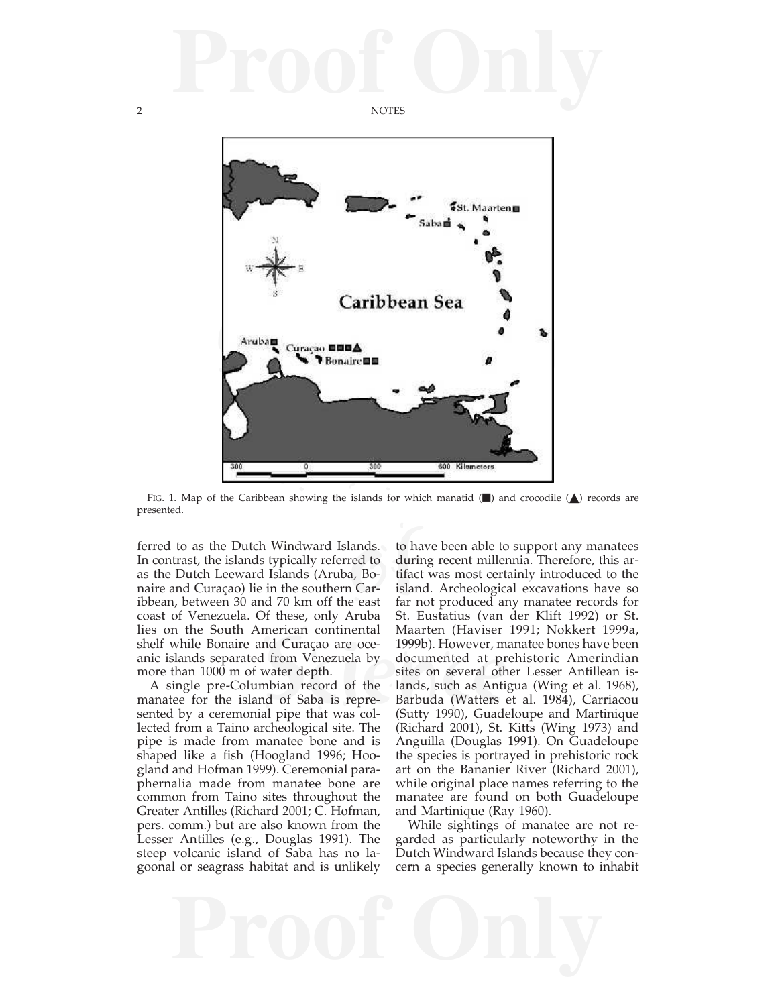## **Proof Only**

2 NOTES



presented.

lands. to ha<br>red to durin<br>a, Bo- tifact<br>cast far n<br>east far n<br>ambe St E ferred to as the Dutch Windward Islands. In contrast, the islands typically referred to as the Dutch Leeward Islands (Aruba, Bonaire and Curaçao) lie in the southern Caribbean, between 30 and 70 km off the east coast of Venezuela. Of these, only Aruba lies on the South American continental shelf while Bonaire and Curaçao are oceanic islands separated from Venezuela by more than 1000 m of water depth.

A single pre-Columbian record of the manatee for the island of Saba is represented by a ceremonial pipe that was collected from a Taino archeological site. The pipe is made from manatee bone and is shaped like a fish (Hoogland 1996; Hoogland and Hofman 1999). Ceremonial paraphernalia made from manatee bone are common from Taino sites throughout the Greater Antilles (Richard 2001; C. Hofman, pers. comm.) but are also known from the Lesser Antilles (e.g., Douglas 1991). The steep volcanic island of Saba has no lagoonal or seagrass habitat and is unlikely

nd Curaçao are oce-<br>
1999b). However, m.<br>
1 from Venezuela by documented at pr<br>
water depth.<br>
is documented at pr<br>
sites on several oth<br>
inhian record of the lands, such as Antig<br>
id of Saba is repre-<br>
Barbuda (Watters e<br> to have been able to support any manatees during recent millennia. Therefore, this artifact was most certainly introduced to the island. Archeological excavations have so far not produced any manatee records for St. Eustatius (van der Klift 1992) or St. Maarten (Haviser 1991; Nokkert 1999a, 1999b). However, manatee bones have been documented at prehistoric Amerindian sites on several other Lesser Antillean islands, such as Antigua (Wing et al. 1968), Barbuda (Watters et al. 1984), Carriacou (Sutty 1990), Guadeloupe and Martinique (Richard 2001), St. Kitts (Wing 1973) and Anguilla (Douglas 1991). On Guadeloupe the species is portrayed in prehistoric rock art on the Bananier River (Richard 2001), while original place names referring to the manatee are found on both Guadeloupe and Martinique (Ray 1960).

> While sightings of manatee are not regarded as particularly noteworthy in the Dutch Windward Islands because they concern a species generally known to inhabit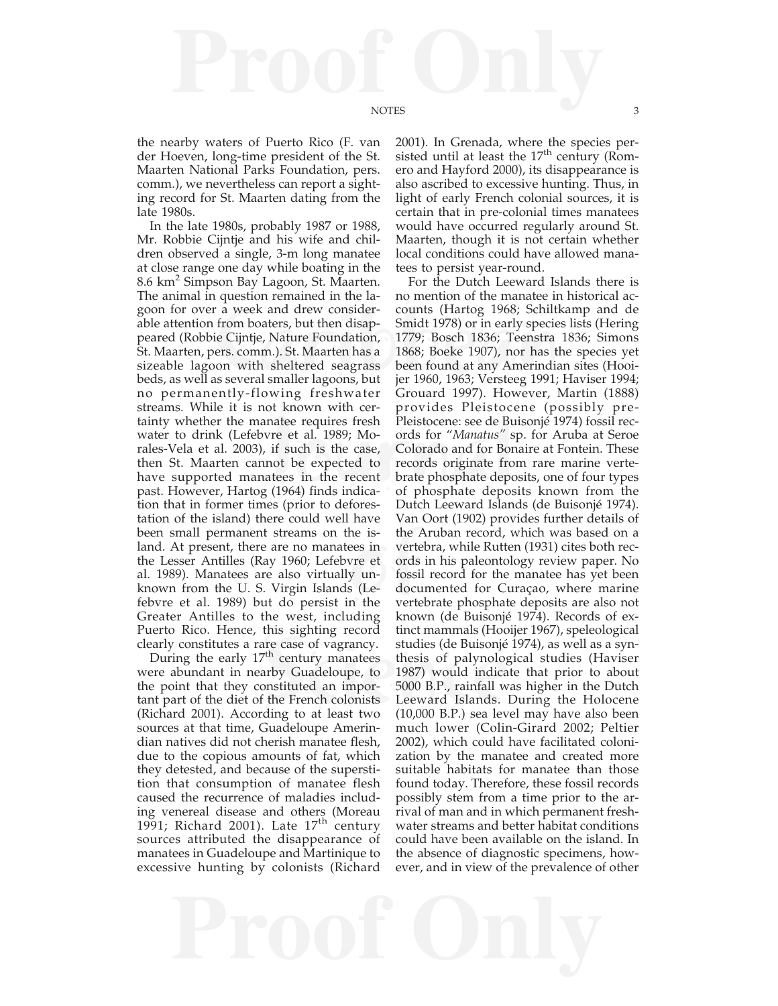the nearby waters of Puerto Rico (F. van der Hoeven, long-time president of the St. Maarten National Parks Foundation, pers. comm.), we nevertheless can report a sighting record for St. Maarten dating from the late 1980s.

r a week and drew consider-<br>from boaters, but then disap-<br>lie Cijntje, Nature Foundation, 1779; Bosch 1836; Teenstra<br>lers.comm.). St. Maarten has a 1868; Boeke 1907), nor has t<br>loon with sheltered seagrass been found at an nanatee requires fresh Pleistocene: see de Bu<br>bvre et al. 1989; Mo- ords for "Manatus" s<br>), if such is the case, Colorado and for Bor<br>mnot be expected to records originate fro<br>matees in the recent brate phosphate depos<br>pog the is-<br>
the *k*<br>
ees in verte<br>
vre et ords<br>
y un-<br>
fossil<br>
s (Le-<br>
docu<br>
the vertex<br>
the vertex<br>
the vertex<br>
the vertex<br>
the vertex<br>
the vertex<br>
the vertex<br>
the vertex<br>
the vertex<br>
the vertex<br>
the vertex<br>
the vertex<br>
the In the late 1980s, probably 1987 or 1988, Mr. Robbie Cijntje and his wife and children observed a single, 3-m long manatee at close range one day while boating in the 8.6 km2 Simpson Bay Lagoon, St. Maarten. The animal in question remained in the lagoon for over a week and drew considerable attention from boaters, but then disappeared (Robbie Cijntje, Nature Foundation, St. Maarten, pers. comm.). St. Maarten has a sizeable lagoon with sheltered seagrass beds, as well as several smaller lagoons, but no permanently-flowing freshwater streams. While it is not known with certainty whether the manatee requires fresh water to drink (Lefebvre et al. 1989; Morales-Vela et al. 2003), if such is the case, then St. Maarten cannot be expected to have supported manatees in the recent past. However, Hartog (1964) finds indication that in former times (prior to deforestation of the island) there could well have been small permanent streams on the island. At present, there are no manatees in the Lesser Antilles (Ray 1960; Lefebvre et al. 1989). Manatees are also virtually unknown from the U. S. Virgin Islands (Lefebvre et al. 1989) but do persist in the Greater Antilles to the west, including Puerto Rico. Hence, this sighting record clearly constitutes a rare case of vagrancy.

During the early  $17<sup>th</sup>$  century manatees were abundant in nearby Guadeloupe, to the point that they constituted an important part of the diet of the French colonists (Richard 2001). According to at least two sources at that time, Guadeloupe Amerindian natives did not cherish manatee flesh, due to the copious amounts of fat, which they detested, and because of the superstition that consumption of manatee flesh caused the recurrence of maladies including venereal disease and others (Moreau 1991; Richard 2001). Late  $17<sup>th</sup>$  century sources attributed the disappearance of manatees in Guadeloupe and Martinique to excessive hunting by colonists (Richard

2001). In Grenada, where the species persisted until at least the  $17<sup>th</sup>$  century (Romero and Hayford 2000), its disappearance is also ascribed to excessive hunting. Thus, in light of early French colonial sources, it is certain that in pre-colonial times manatees would have occurred regularly around St. Maarten, though it is not certain whether local conditions could have allowed manatees to persist year-round.

re case of vagrancy. studies (de Buisonjé<br>
t<sup>h</sup> century manatees thesis of palynolog<br>
arby Guadeloupe, to 1987) would indica<br>
onstituted an impor-5000 B.P., rainfall w<br>
the French colonists Leeward Islands.<br>
ding to at lea For the Dutch Leeward Islands there is no mention of the manatee in historical accounts (Hartog 1968; Schiltkamp and de Smidt 1978) or in early species lists (Hering 1779; Bosch 1836; Teenstra 1836; Simons 1868; Boeke 1907), nor has the species yet been found at any Amerindian sites (Hooijer 1960, 1963; Versteeg 1991; Haviser 1994; Grouard 1997). However, Martin (1888) provides Pleistocene (possibly pre-Pleistocene: see de Buisonjé 1974) fossil records for "*Manatus"* sp. for Aruba at Seroe Colorado and for Bonaire at Fontein. These records originate from rare marine vertebrate phosphate deposits, one of four types of phosphate deposits known from the Dutch Leeward Islands (de Buisonjé 1974). Van Oort (1902) provides further details of the Aruban record, which was based on a vertebra, while Rutten (1931) cites both records in his paleontology review paper. No fossil record for the manatee has yet been documented for Curaçao, where marine vertebrate phosphate deposits are also not known (de Buisonjé 1974). Records of extinct mammals (Hooijer 1967), speleological studies (de Buisonjé 1974), as well as a synthesis of palynological studies (Haviser 1987) would indicate that prior to about 5000 B.P., rainfall was higher in the Dutch Leeward Islands. During the Holocene (10,000 B.P.) sea level may have also been much lower (Colin-Girard 2002; Peltier 2002), which could have facilitated colonization by the manatee and created more suitable habitats for manatee than those found today. Therefore, these fossil records possibly stem from a time prior to the arrival of man and in which permanent freshwater streams and better habitat conditions could have been available on the island. In the absence of diagnostic specimens, however, and in view of the prevalence of other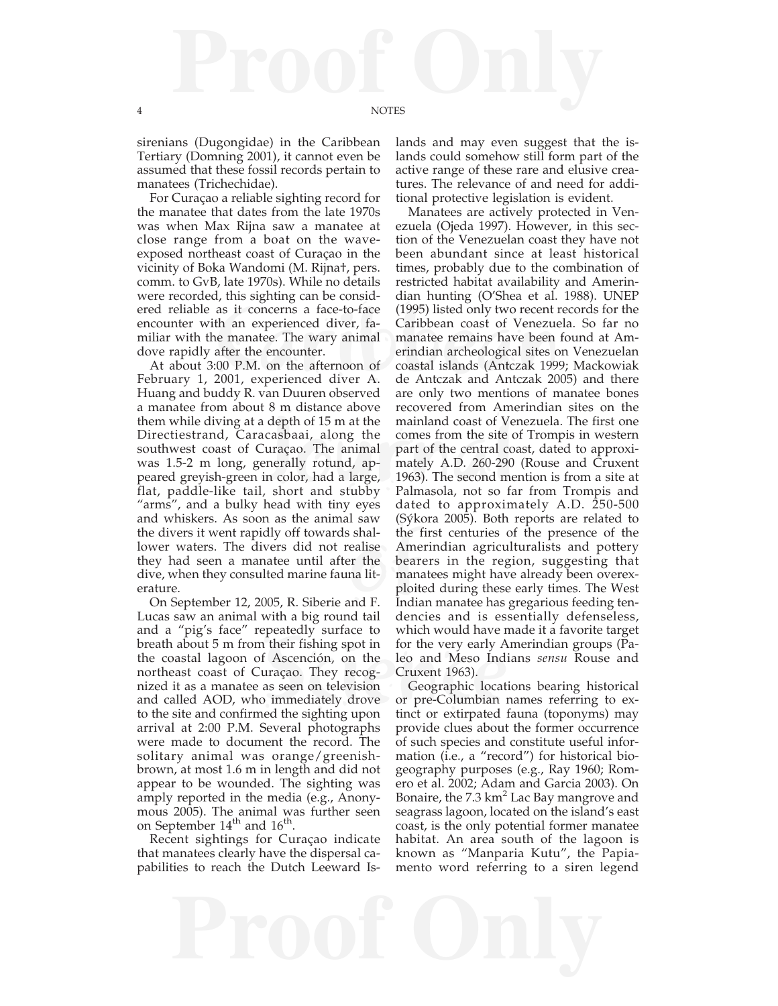sirenians (Dugongidae) in the Caribbean Tertiary (Domning 2001), it cannot even be assumed that these fossil records pertain to manatees (Trichechidae).

For Curaçao a reliable sighting record for the manatee that dates from the late 1970s was when Max Rijna saw a manatee at close range from a boat on the waveexposed northeast coast of Curaçao in the vicinity of Boka Wandomi (M. Rijna†, pers. comm. to GvB, late 1970s). While no details were recorded, this sighting can be considered reliable as it concerns a face-to-face encounter with an experienced diver, familiar with the manatee. The wary animal dove rapidly after the encounter.

a depth of 15 m at the mainland coast of Ve<br>acasbaai, along the comes from the site c<br>Curaçao. The animal part of the central c<br>generally rotund, ap-<br>mately A.D. 260-290<br>in color, had a large, 1963). The second me<br>l, short shal-<br>
ealise Ame<br>
er the bear<br>
man lit-<br>
man ploit<br>
mud F.<br>
d tail At about 3:00 P.M. on the afternoon of February 1, 2001, experienced diver A. Huang and buddy R. van Duuren observed a manatee from about 8 m distance above them while diving at a depth of 15 m at the Directiestrand, Caracasbaai, along the southwest coast of Curaçao. The animal was 1.5-2 m long, generally rotund, appeared greyish-green in color, had a large, flat, paddle-like tail, short and stubby "arms", and a bulky head with tiny eyes and whiskers. As soon as the animal saw the divers it went rapidly off towards shallower waters. The divers did not realise they had seen a manatee until after the dive, when they consulted marine fauna literature.

The interferishing spot in for the very early A f Ascención, on the leo and Meso Indiuração. They recog-<br>
Scruzent 1963).<br>
Scruzent 1963).<br>
Scruzent 1963).<br>
Scruzent Iosa Seen on television Geographic location<br>
immediately On September 12, 2005, R. Siberie and F. Lucas saw an animal with a big round tail and a "pig's face" repeatedly surface to breath about 5 m from their fishing spot in the coastal lagoon of Ascención, on the northeast coast of Curaçao. They recognized it as a manatee as seen on television and called AOD, who immediately drove to the site and confirmed the sighting upon arrival at 2:00 P.M. Several photographs were made to document the record. The solitary animal was orange/greenishbrown, at most 1.6 m in length and did not appear to be wounded. The sighting was amply reported in the media (e.g., Anonymous 2005). The animal was further seen on September 14<sup>th</sup> and 16<sup>th</sup>.

Recent sightings for Curaçao indicate that manatees clearly have the dispersal capabilities to reach the Dutch Leeward Is-

lands and may even suggest that the islands could somehow still form part of the active range of these rare and elusive creatures. The relevance of and need for additional protective legislation is evident.

as it concerns a face-to-face (1995) listed only two recent ith an experienced diver, fa-<br>
the an experienced diver, fa-<br>
caribbean coast of Venezue<br>
in a manatee remains have been<br>
after the encounter.<br>
comments are end i Manatees are actively protected in Venezuela (Ojeda 1997). However, in this section of the Venezuelan coast they have not been abundant since at least historical times, probably due to the combination of restricted habitat availability and Amerindian hunting (O'Shea et al. 1988). UNEP (1995) listed only two recent records for the Caribbean coast of Venezuela. So far no manatee remains have been found at Amerindian archeological sites on Venezuelan coastal islands (Antczak 1999; Mackowiak de Antczak and Antczak 2005) and there are only two mentions of manatee bones recovered from Amerindian sites on the mainland coast of Venezuela. The first one comes from the site of Trompis in western part of the central coast, dated to approximately A.D. 260-290 (Rouse and Cruxent 1963). The second mention is from a site at Palmasola, not so far from Trompis and dated to approximately A.D. 250-500 (Sýkora 2005). Both reports are related to the first centuries of the presence of the Amerindian agriculturalists and pottery bearers in the region, suggesting that manatees might have already been overexploited during these early times. The West Indian manatee has gregarious feeding tendencies and is essentially defenseless, which would have made it a favorite target for the very early Amerindian groups (Paleo and Meso Indians *sensu* Rouse and Cruxent 1963).

> Geographic locations bearing historical or pre-Columbian names referring to extinct or extirpated fauna (toponyms) may provide clues about the former occurrence of such species and constitute useful information (i.e., a "record") for historical biogeography purposes (e.g., Ray 1960; Romero et al. 2002; Adam and Garcia 2003). On Bonaire, the  $7.3 \text{ km}^2$  Lac Bay mangrove and seagrass lagoon, located on the island's east coast, is the only potential former manatee habitat. An area south of the lagoon is known as "Manparia Kutu", the Papiamento word referring to a siren legend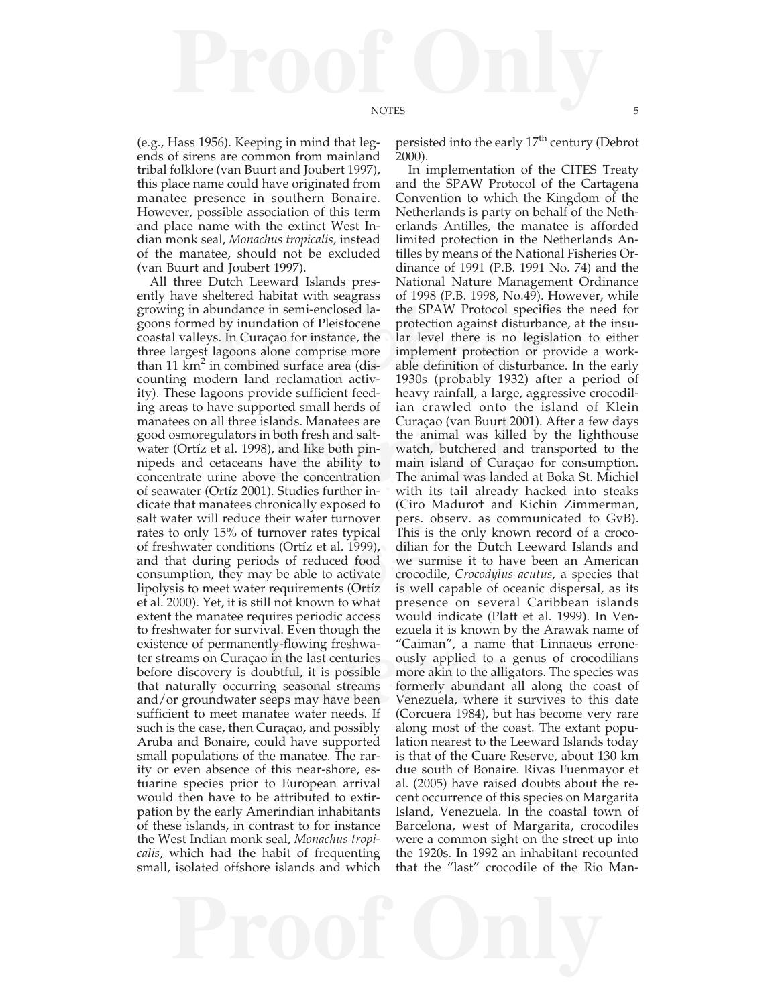(e.g., Hass 1956). Keeping in mind that legends of sirens are common from mainland tribal folklore (van Buurt and Joubert 1997), this place name could have originated from manatee presence in southern Bonaire. However, possible association of this term and place name with the extinct West Indian monk seal, *Monachus tropicalis,* instead of the manatee, should not be excluded (van Buurt and Joubert 1997).

bundance in semi-enclosed la-<br>
le SPAW Protocol specifies<br>
le by inundation of Pleistocene protection against disturbance<br>
s. In Curaçao for instance, the lar level there is no legisla<br>
lagoons alone comprise more implemen islands. Manatees are Curação (van Buurt 2<br>in both fresh and salt-<br>the animal was kill<br>98), and like both pin-<br>watch, butchered are<br>shown the ability to main island of Cura<br>ove the concentration The animal was land<br>91). St ppical This<br>
1999), dilian<br>
food we s<br>
tivate crocc<br>
(Ortíz is we<br>
what press ty-flowing freshwa-<br>
Siman", a name<br>
Siman in the last centuries<br>
ously applied to a<br>
bubtful, it is possible<br>
more akin to the alli<br>
mg seasonal streams<br>
formerly abundant<br>
seeps may have been<br>
Venezuela, where i<br>
see wat All three Dutch Leeward Islands presently have sheltered habitat with seagrass growing in abundance in semi-enclosed lagoons formed by inundation of Pleistocene coastal valleys. In Curaçao for instance, the three largest lagoons alone comprise more than  $11 \text{ km}^2$  in combined surface area (discounting modern land reclamation activity). These lagoons provide sufficient feeding areas to have supported small herds of manatees on all three islands. Manatees are good osmoregulators in both fresh and saltwater (Ortíz et al. 1998), and like both pinnipeds and cetaceans have the ability to concentrate urine above the concentration of seawater (Ortíz 2001). Studies further indicate that manatees chronically exposed to salt water will reduce their water turnover rates to only 15% of turnover rates typical of freshwater conditions (Ortíz et al. 1999), and that during periods of reduced food consumption, they may be able to activate lipolysis to meet water requirements (Ortíz et al. 2000). Yet, it is still not known to what extent the manatee requires periodic access to freshwater for survival. Even though the existence of permanently-flowing freshwater streams on Curaçao in the last centuries before discovery is doubtful, it is possible that naturally occurring seasonal streams and/or groundwater seeps may have been sufficient to meet manatee water needs. If such is the case, then Curaçao, and possibly Aruba and Bonaire, could have supported small populations of the manatee. The rarity or even absence of this near-shore, estuarine species prior to European arrival would then have to be attributed to extirpation by the early Amerindian inhabitants of these islands, in contrast to for instance the West Indian monk seal, *Monachus tropicalis*, which had the habit of frequenting small, isolated offshore islands and which

persisted into the early  $17<sup>th</sup>$  century (Debrot 2000).

In implementation of the CITES Treaty and the SPAW Protocol of the Cartagena Convention to which the Kingdom of the Netherlands is party on behalf of the Netherlands Antilles, the manatee is afforded limited protection in the Netherlands Antilles by means of the National Fisheries Ordinance of 1991 (P.B. 1991 No. 74) and the National Nature Management Ordinance of 1998 (P.B. 1998, No.49). However, while the SPAW Protocol specifies the need for protection against disturbance, at the insular level there is no legislation to either implement protection or provide a workable definition of disturbance. In the early 1930s (probably 1932) after a period of heavy rainfall, a large, aggressive crocodilian crawled onto the island of Klein Curaçao (van Buurt 2001). After a few days the animal was killed by the lighthouse watch, butchered and transported to the main island of Curaçao for consumption. The animal was landed at Boka St. Michiel with its tail already hacked into steaks (Ciro Maduro† and Kichin Zimmerman, pers. observ. as communicated to GvB). This is the only known record of a crocodilian for the Dutch Leeward Islands and we surmise it to have been an American crocodile, *Crocodylus acutus*, a species that is well capable of oceanic dispersal, as its presence on several Caribbean islands would indicate (Platt et al. 1999). In Venezuela it is known by the Arawak name of "Caiman", a name that Linnaeus erroneously applied to a genus of crocodilians more akin to the alligators. The species was formerly abundant all along the coast of Venezuela, where it survives to this date (Corcuera 1984), but has become very rare along most of the coast. The extant population nearest to the Leeward Islands today is that of the Cuare Reserve, about 130 km due south of Bonaire. Rivas Fuenmayor et al. (2005) have raised doubts about the recent occurrence of this species on Margarita Island, Venezuela. In the coastal town of Barcelona, west of Margarita, crocodiles were a common sight on the street up into the 1920s. In 1992 an inhabitant recounted that the "last" crocodile of the Rio Man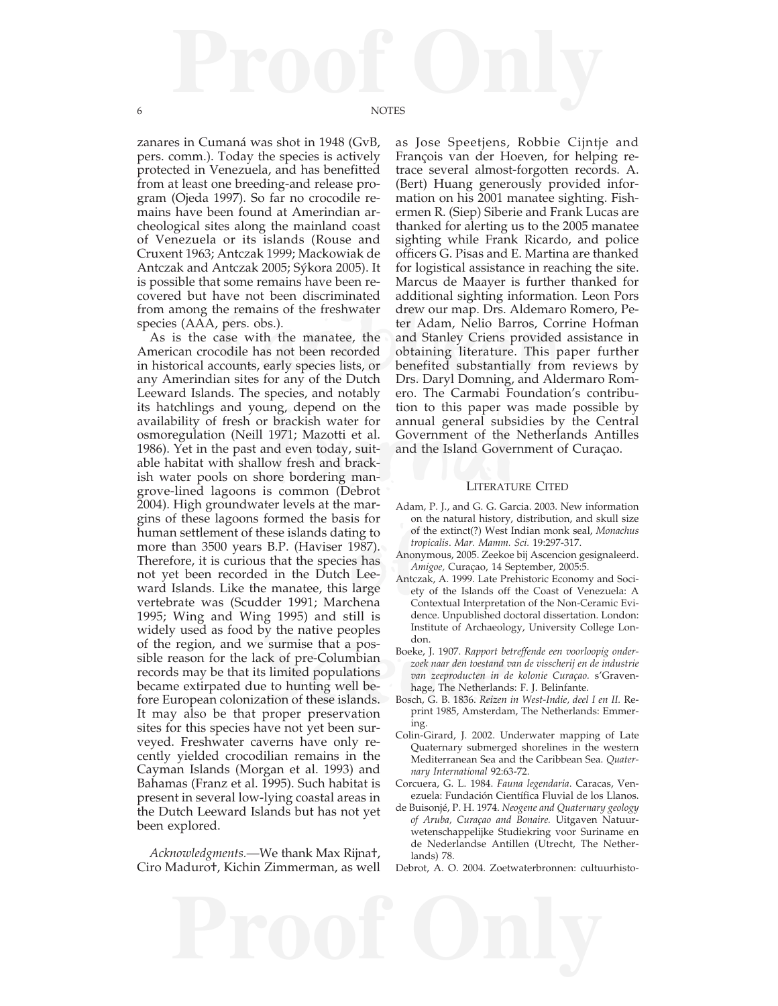zanares in Cumaná was shot in 1948 (GvB, pers. comm.). Today the species is actively protected in Venezuela, and has benefitted from at least one breeding-and release program (Ojeda 1997). So far no crocodile remains have been found at Amerindian archeological sites along the mainland coast of Venezuela or its islands (Rouse and Cruxent 1963; Antczak 1999; Mackowiak de Antczak and Antczak 2005; Sýkora 2005). It is possible that some remains have been recovered but have not been discriminated from among the remains of the freshwater species (AAA, pers. obs.).

or brackish water for annual general subset<br>
Il 1971; Mazotti et al. Government of the<br>
and even today, suitand the Island Govern<br>
Illow fresh and brack-<br>
hore bordering man-<br>
is common (Debrot LITERATU ing to of<br>1987).<br>
es has Anony<br>
Lee-<br>
Large ety<br>
dre Colena Co<br>
till is dre Externise that a pos-<br>
ck of pre-Columbian<br>
s limited populations<br>
s limited populations<br>
to hunting well be-<br>
to have an zeeproducten in d<br>
to hand these islands.<br>
Bosch, G. B. 1836. Reizen<br>
proper preservation<br>
prime 198 As is the case with the manatee, the American crocodile has not been recorded in historical accounts, early species lists, or any Amerindian sites for any of the Dutch Leeward Islands. The species, and notably its hatchlings and young, depend on the availability of fresh or brackish water for osmoregulation (Neill 1971; Mazotti et al. 1986). Yet in the past and even today, suitable habitat with shallow fresh and brackish water pools on shore bordering mangrove-lined lagoons is common (Debrot 2004). High groundwater levels at the margins of these lagoons formed the basis for human settlement of these islands dating to more than 3500 years B.P. (Haviser 1987). Therefore, it is curious that the species has not yet been recorded in the Dutch Leeward Islands. Like the manatee, this large vertebrate was (Scudder 1991; Marchena 1995; Wing and Wing 1995) and still is widely used as food by the native peoples of the region, and we surmise that a possible reason for the lack of pre-Columbian records may be that its limited populations became extirpated due to hunting well before European colonization of these islands. It may also be that proper preservation sites for this species have not yet been surveyed. Freshwater caverns have only recently yielded crocodilian remains in the Cayman Islands (Morgan et al. 1993) and Bahamas (Franz et al. 1995). Such habitat is present in several low-lying coastal areas in the Dutch Leeward Islands but has not yet been explored.

*Acknowledgments.—*We thank Max Rijna†, Ciro Maduro†, Kichin Zimmerman, as well

the remains of the freshwater drew our map. Drs. Aldemar<br>
, pers. obs.). the Ham, Nelio Barros, Co<br>
case with the manatee, the and Stanley Criens provided<br>
codile has not been recorded obtaining literature. This<br>
ccounts, as Jose Speetjens, Robbie Cijntje and François van der Hoeven, for helping retrace several almost-forgotten records. A. (Bert) Huang generously provided information on his 2001 manatee sighting. Fishermen R. (Siep) Siberie and Frank Lucas are thanked for alerting us to the 2005 manatee sighting while Frank Ricardo, and police officers G. Pisas and E. Martina are thanked for logistical assistance in reaching the site. Marcus de Maayer is further thanked for additional sighting information. Leon Pors drew our map. Drs. Aldemaro Romero, Peter Adam, Nelio Barros, Corrine Hofman and Stanley Criens provided assistance in obtaining literature. This paper further benefited substantially from reviews by Drs. Daryl Domning, and Aldermaro Romero. The Carmabi Foundation's contribution to this paper was made possible by annual general subsidies by the Central Government of the Netherlands Antilles and the Island Government of Curaçao.

## LITERATURE CITED

- Adam, P. J., and G. G. Garcia. 2003. New information on the natural history, distribution, and skull size of the extinct(?) West Indian monk seal, *Monachus tropicalis*. *Mar. Mamm. Sci.* 19:297-317.
- Anonymous, 2005. Zeekoe bij Ascencion gesignaleerd. *Amigoe,* Curaçao, 14 September, 2005:5.
- Antczak, A. 1999. Late Prehistoric Economy and Society of the Islands off the Coast of Venezuela: A Contextual Interpretation of the Non-Ceramic Evidence. Unpublished doctoral dissertation. London: Institute of Archaeology, University College London.
- Boeke, J. 1907. *Rapport betreffende een voorloopig onderzoek naar den toestand van de visscherij en de industrie van zeeproducten in de kolonie Curaçao.* s'Gravenhage, The Netherlands: F. J. Belinfante.
- Bosch, G. B. 1836. *Reizen in West-Indie, deel I en II.* Reprint 1985, Amsterdam, The Netherlands: Emmering.
- Colin-Girard, J. 2002. Underwater mapping of Late Quaternary submerged shorelines in the western Mediterranean Sea and the Caribbean Sea. *Quaternary International* 92:63-72.
- Corcuera, G. L. 1984. *Fauna legendaria*. Caracas, Venezuela: Fundación Científica Fluvial de los Llanos.
- de Buisonjé, P. H. 1974. *Neogene and Quaternary geology of Aruba, Curaçao and Bonaire.* Uitgaven Natuurwetenschappelijke Studiekring voor Suriname en de Nederlandse Antillen (Utrecht, The Netherlands) 78.
- Debrot, A. O. 2004. Zoetwaterbronnen: cultuurhisto-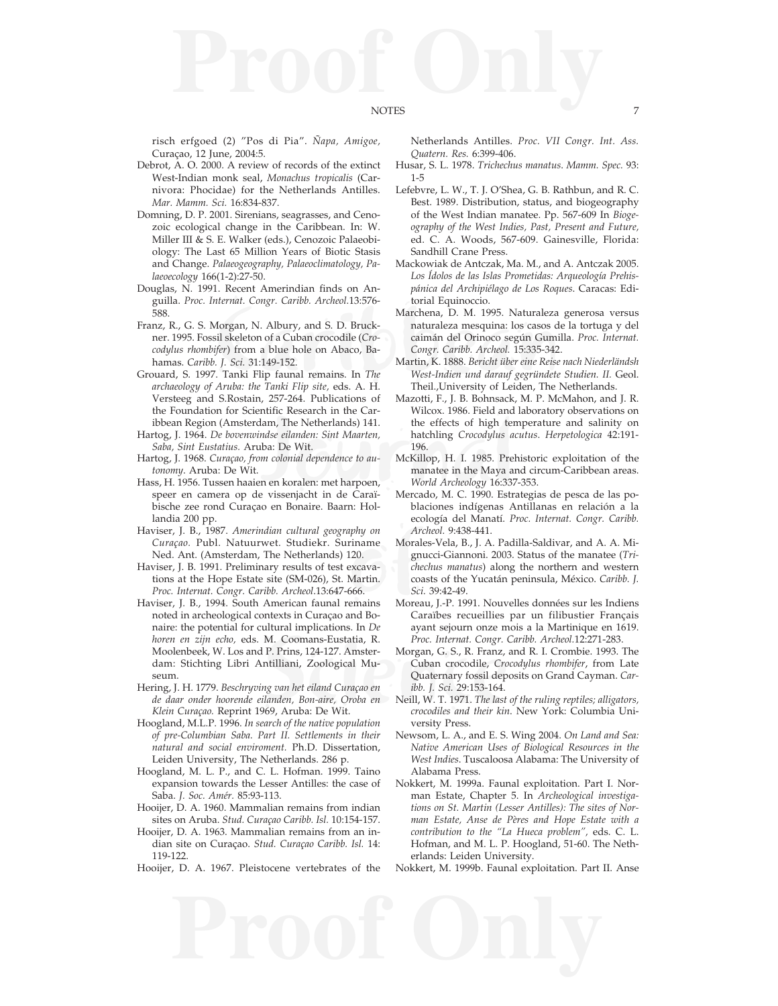risch erfgoed (2) "Pos di Pia". *Ñapa, Amigoe,* Curaçao, 12 June, 2004:5.

- Debrot, A. O. 2000. A review of records of the extinct West-Indian monk seal, *Monachus tropicalis* (Carnivora: Phocidae) for the Netherlands Antilles. *Mar. Mamm. Sci.* 16:834-837.
- Domning, D. P. 2001. Sirenians, seagrasses, and Cenozoic ecological change in the Caribbean. In: W. Miller III & S. E. Walker (eds.), Cenozoic Palaeobiology: The Last 65 Million Years of Biotic Stasis and Change. *Palaeogeography, Palaeoclimatology, Palaeoecology* 166(1-2):27-50.
- Douglas, N. 1991. Recent Amerindian finds on Anguilla. *Proc. Internat. Congr. Caribb. Archeol.*13:576- 588.
- Marchena, D. M. 1995. Naturaleza<br>
sil skeleton of a Cuban crocodile (Crocoming and S. D. Bruck-<br>
sil skeleton of a Cuban crocodile (Crocoming and all Orinoco según Gumi<br>
ifer) from a blue hole on Abaco, Bacaman del Orinoco Franz, R., G. S. Morgan, N. Albury, and S. D. Bruckner. 1995. Fossil skeleton of a Cuban crocodile (*Crocodylus rhombifer*) from a blue hole on Abaco, Bahamas. *Caribb. J. Sci.* 31:149-152.
- Grouard, S. 1997. Tanki Flip faunal remains. In *The archaeology of Aruba: the Tanki Flip site,* eds. A. H. Versteeg and S.Rostain, 257-264. Publications of the Foundation for Scientific Research in the Caribbean Region (Amsterdam, The Netherlands) 141.
- Hartog, J. 1964. *De bovenwindse eilanden: Sint Maarten, Saba, Sint Eustatius.* Aruba: De Wit.
- Hartog, J. 1968. *Curaçao, from colonial dependence to autonomy*. Aruba: De Wit.
- Hass, H. 1956. Tussen haaien en koralen: met harpoen, speer en camera op de vissenjacht in de Caraïbische zee rond Curaçao en Bonaire. Baarn: Hollandia 200 pp.
- Haviser, J. B., 1987. *Amerindian cultural geography on Curaçao.* Publ. Natuurwet. Studiekr. Suriname Ned. Ant. (Amsterdam, The Netherlands) 120.
- Haviser, J. B. 1991. Preliminary results of test excavations at the Hope Estate site (SM-026), St. Martin. *Proc. Internat. Congr. Caribb. Archeol*.13:647-666.
- M. Coomans-Eustatia, R. Proc. Internat. Congr. (<br>P. Prins, 124-127. Amster-<br>Intilliani, Zoological Mu-<br>Cuban crocodile, Cro<br>Internaty fossil dep<br>International Curaçao en Intellianden, Bon-aire, Oroba en Neill, W. T. 1971. Haviser, J. B., 1994. South American faunal remains noted in archeological contexts in Curaçao and Bonaire: the potential for cultural implications. In *De horen en zijn echo,* eds. M. Coomans-Eustatia, R. Moolenbeek, W. Los and P. Prins, 124-127. Amsterdam: Stichting Libri Antilliani, Zoological Museum.
- Hering, J. H. 1779. *Beschryving van het eiland Curaçao en de daar onder hoorende eilanden, Bon-aire, Oroba en Klein Curaçao.* Reprint 1969, Aruba: De Wit.
- Hoogland, M.L.P. 1996. *In search of the native population of pre-Columbian Saba. Part II. Settlements in their natural and social enviroment.* Ph.D. Dissertation, Leiden University, The Netherlands. 286 p.
- Hoogland, M. L. P., and C. L. Hofman. 1999. Taino expansion towards the Lesser Antilles: the case of Saba. *J. Soc. Amér.* 85:93-113.
- Hooijer, D. A. 1960. Mammalian remains from indian sites on Aruba. *Stud. Curaçao Caribb. Isl.* 10:154-157.
- Hooijer, D. A. 1963. Mammalian remains from an indian site on Curaçao. *Stud. Curaçao Caribb. Isl.* 14: 119-122.
- Hooijer, D. A. 1967. Pleistocene vertebrates of the

Netherlands Antilles. *Proc. VII Congr. Int. Ass. Quatern. Res.* 6:399-406.

- Husar, S. L. 1978. *Trichechus manatus*. *Mamm. Spec.* 93: 1-5
- Lefebvre, L. W., T. J. O'Shea, G. B. Rathbun, and R. C. Best. 1989. Distribution, status, and biogeography of the West Indian manatee. Pp. 567-609 In *Biogeography of the West Indies, Past, Present and Future,* ed. C. A. Woods, 567-609. Gainesville, Florida: Sandhill Crane Press.
- Mackowiak de Antczak, Ma. M., and A. Antczak 2005. *Los Ídolos de las Islas Prometidas: Arqueología Prehispánica del Archipiélago de Los Roques*. Caracas: Editorial Equinoccio.
- Marchena, D. M. 1995. Naturaleza generosa versus naturaleza mesquina: los casos de la tortuga y del caimán del Orinoco según Gumilla. *Proc. Internat. Congr. Caribb. Archeol.* 15:335-342.
- Martin, K. 1888. *Bericht über eine Reise nach Niederländsh West-Indien und darauf gegründete Studien. II.* Geol. Theil.,University of Leiden, The Netherlands.
- dam, The Netherlands) 141. the effects of high test index eilanden: Sint Maarten,<br>
the effects of high test index backet in the three in the Maya and an en koralen: met harpoen,<br>
the manatee in the Maya and the Maya and th Mazotti, F., J. B. Bohnsack, M. P. McMahon, and J. R. Wilcox. 1986. Field and laboratory observations on the effects of high temperature and salinity on hatchling *Crocodylus acutus*. *Herpetologica* 42:191- 196.
	- McKillop, H. I. 1985. Prehistoric exploitation of the manatee in the Maya and circum-Caribbean areas. *World Archeology* 16:337-353.
	- Mercado, M. C. 1990. Estrategias de pesca de las poblaciones indígenas Antillanas en relación a la ecología del Manatí. *Proc. Internat. Congr. Caribb. Archeol.* 9:438-441.
	- *phy on Ar*<br>
	riname Moral<br>
	120. gn<br>
	xxcava- *che*<br>
	Martin. coo<br>
	666. *Sci*<br>
	martins Moree<br>
	marting Ca Morales-Vela, B., J. A. Padilla-Saldivar, and A. A. Mignucci-Giannoni. 2003. Status of the manatee (*Trichechus manatus*) along the northern and western coasts of the Yucatán peninsula, México. *Caribb. J. Sci.* 39:42-49.
		- Moreau, J.-P. 1991. Nouvelles données sur les Indiens Caraïbes recueillies par un filibustier Français ayant sejourn onze mois a la Martinique en 1619. *Proc. Internat. Congr. Caribb. Archeol.*12:271-283.
		- Morgan, G. S., R. Franz, and R. I. Crombie. 1993. The Cuban crocodile, *Crocodylus rhombifer*, from Late Quaternary fossil deposits on Grand Cayman. *Caribb. J. Sci.* 29:153-164.
		- Neill, W. T. 1971. *The last of the ruling reptiles; alligators, crocodiles and their kin*. New York: Columbia University Press.
		- Newsom, L. A., and E. S. Wing 2004. *On Land and Sea: Native American Uses of Biological Resources in the West Indies*. Tuscaloosa Alabama: The University of Alabama Press.
		- Nokkert, M. 1999a. Faunal exploitation. Part I. Norman Estate, Chapter 5. In *Archeological investigations on St. Martin (Lesser Antilles): The sites of Norman Estate, Anse de Pères and Hope Estate with a contribution to the "La Hueca problem",* eds. C. L. Hofman, and M. L. P. Hoogland, 51-60. The Netherlands: Leiden University.
		- Nokkert, M. 1999b. Faunal exploitation. Part II. Anse